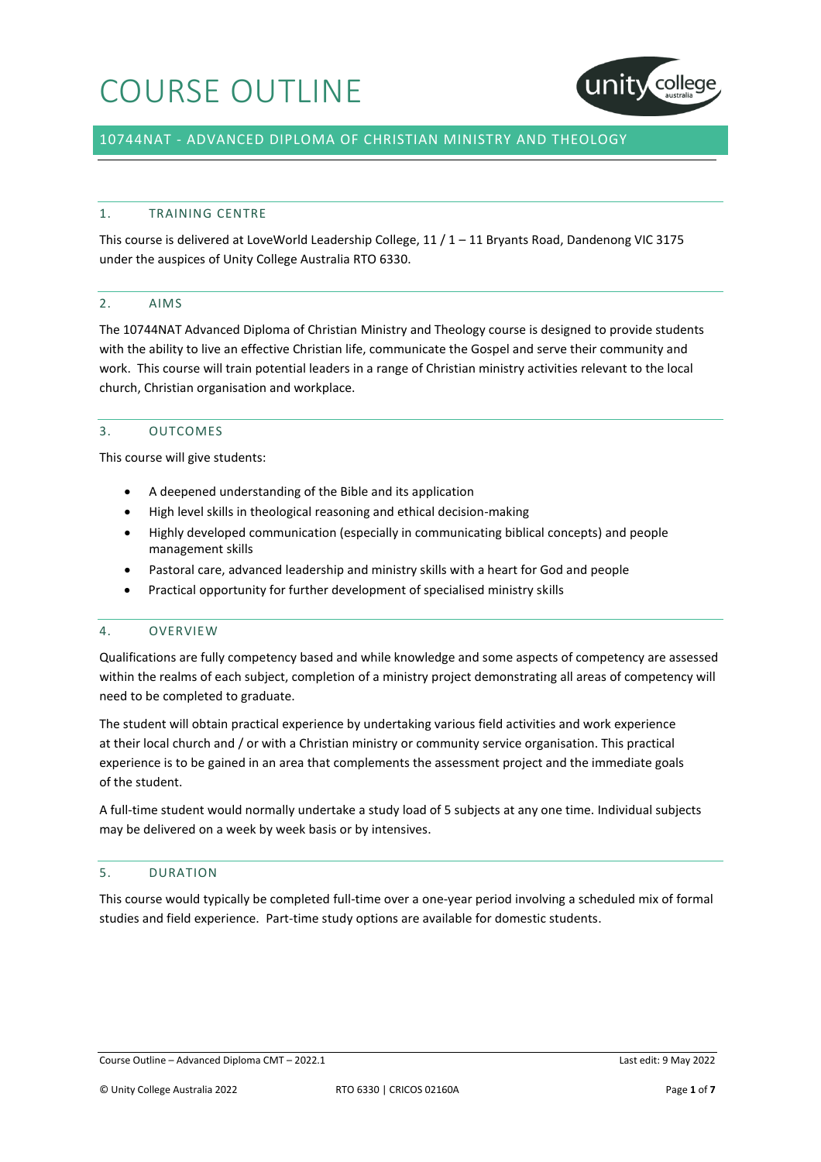

# 10744NAT - ADVANCED DIPLOMA OF CHRISTIAN MINISTRY AND THEOLOGY

#### 1. TRAINING CENTRE

This course is delivered at LoveWorld Leadership College, 11 / 1 – 11 Bryants Road, Dandenong VIC 3175 under the auspices of Unity College Australia RTO 6330.

### 2. AIMS

The 10744NAT Advanced Diploma of Christian Ministry and Theology course is designed to provide students with the ability to live an effective Christian life, communicate the Gospel and serve their community and work. This course will train potential leaders in a range of Christian ministry activities relevant to the local church, Christian organisation and workplace.

### 3. OUTCOMES

This course will give students:

- A deepened understanding of the Bible and its application
- High level skills in theological reasoning and ethical decision-making
- Highly developed communication (especially in communicating biblical concepts) and people management skills
- Pastoral care, advanced leadership and ministry skills with a heart for God and people
- Practical opportunity for further development of specialised ministry skills

#### 4. OVERVIEW

Qualifications are fully competency based and while knowledge and some aspects of competency are assessed within the realms of each subject, completion of a ministry project demonstrating all areas of competency will need to be completed to graduate.

The student will obtain practical experience by undertaking various field activities and work experience at their local church and / or with a Christian ministry or community service organisation. This practical experience is to be gained in an area that complements the assessment project and the immediate goals of the student.

A full-time student would normally undertake a study load of 5 subjects at any one time. Individual subjects may be delivered on a week by week basis or by intensives.

### 5. DURATION

This course would typically be completed full-time over a one-year period involving a scheduled mix of formal studies and field experience. Part-time study options are available for domestic students.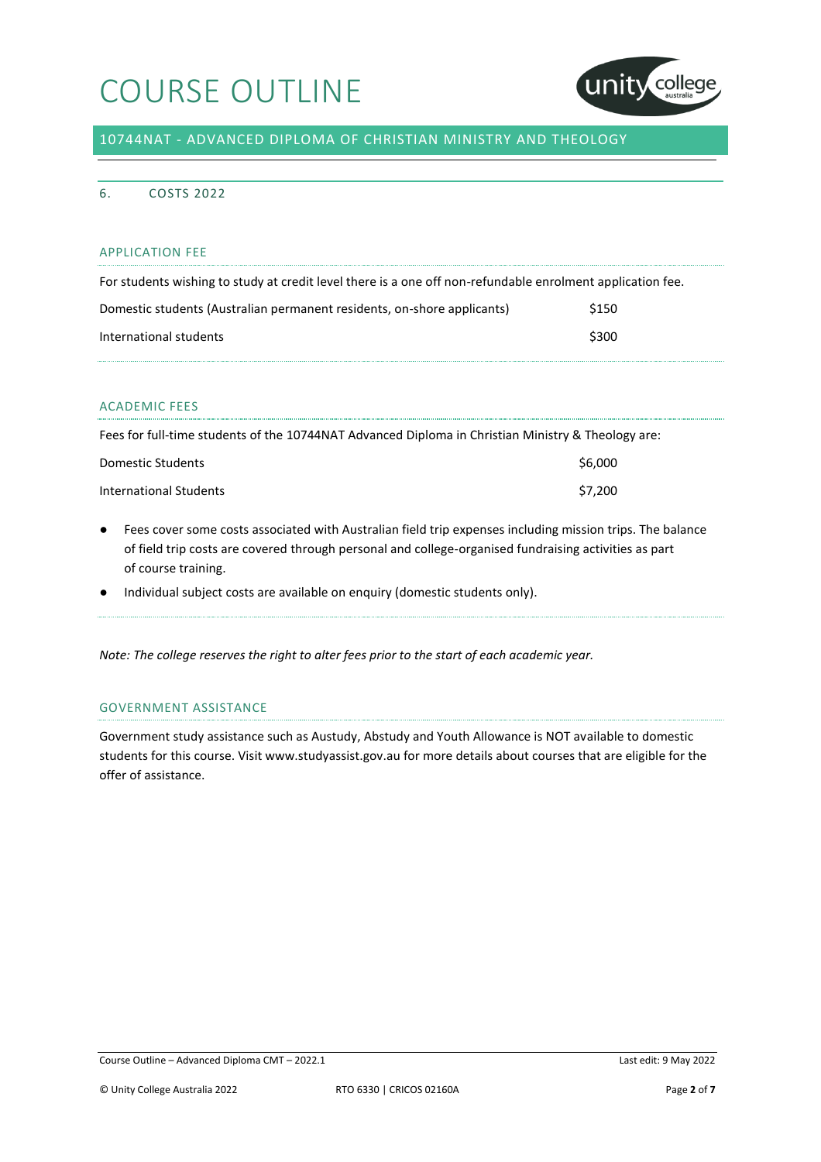

10744NAT - ADVANCED DIPLOMA OF CHRISTIAN MINISTRY AND THEOLOGY

## 6. COSTS 2022

## APPLICATION FEE

| For students wishing to study at credit level there is a one off non-refundable enrolment application fee. |       |
|------------------------------------------------------------------------------------------------------------|-------|
| Domestic students (Australian permanent residents, on-shore applicants)                                    | \$150 |
| International students                                                                                     | \$300 |

### ACADEMIC FEES

| Fees for full-time students of the 10744NAT Advanced Diploma in Christian Ministry & Theology are: |         |
|----------------------------------------------------------------------------------------------------|---------|
| Domestic Students                                                                                  | \$6,000 |
| International Students                                                                             | \$7.200 |

- Fees cover some costs associated with Australian field trip expenses including mission trips. The balance of field trip costs are covered through personal and college-organised fundraising activities as part of course training.
- Individual subject costs are available on enquiry (domestic students only).

*Note: The college reserves the right to alter fees prior to the start of each academic year.*

### GOVERNMENT ASSISTANCE

Government study assistance such as Austudy, Abstudy and Youth Allowance is NOT available to domestic students for this course. Visit www.studyassist.gov.au for more details about courses that are eligible for the offer of assistance.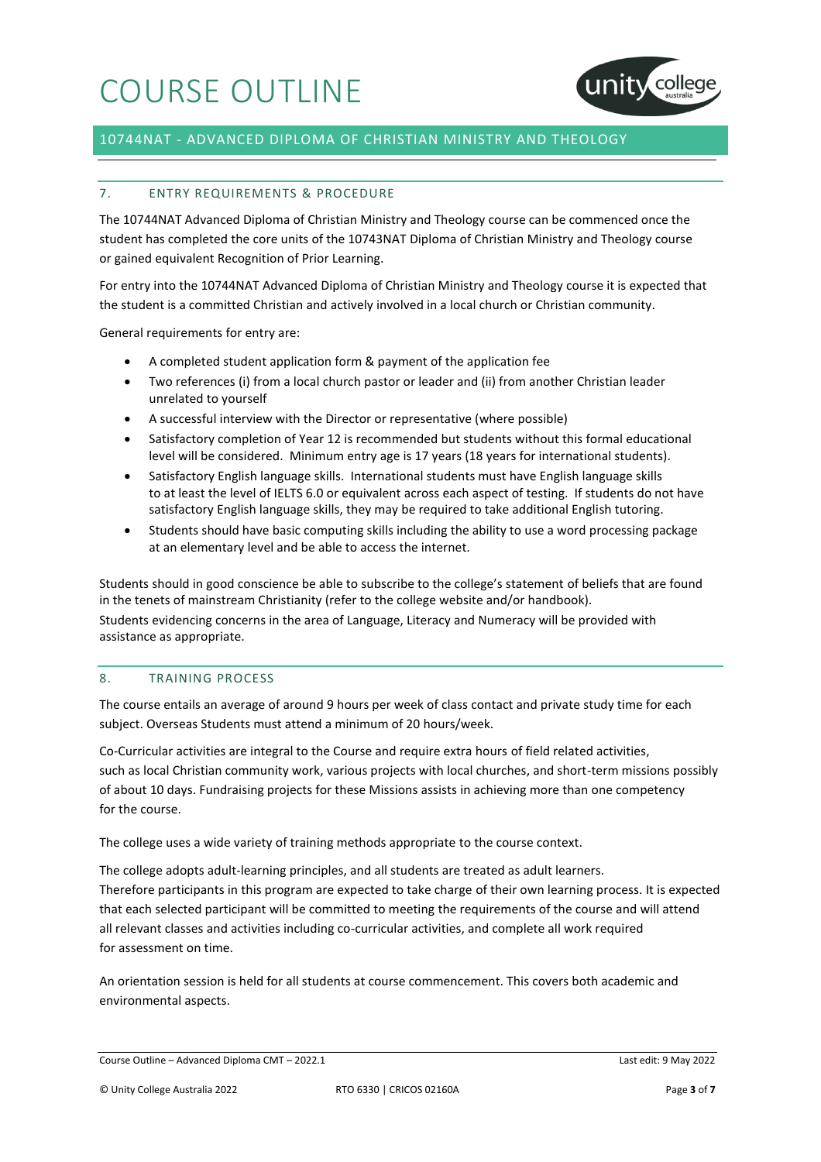

# 10744NAT - ADVANCED DIPLOMA OF CHRISTIAN MINISTRY AND THEOLOGY

## 7. ENTRY REQUIREMENTS & PROCEDURE

The 10744NAT Advanced Diploma of Christian Ministry and Theology course can be commenced once the student has completed the core units of the 10743NAT Diploma of Christian Ministry and Theology course or gained equivalent Recognition of Prior Learning.

For entry into the 10744NAT Advanced Diploma of Christian Ministry and Theology course it is expected that the student is a committed Christian and actively involved in a local church or Christian community.

General requirements for entry are:

- A completed student application form & payment of the application fee
- Two references (i) from a local church pastor or leader and (ii) from another Christian leader unrelated to yourself
- A successful interview with the Director or representative (where possible)
- Satisfactory completion of Year 12 is recommended but students without this formal educational level will be considered. Minimum entry age is 17 years (18 years for international students).
- Satisfactory English language skills. International students must have English language skills to at least the level of IELTS 6.0 or equivalent across each aspect of testing. If students do not have satisfactory English language skills, they may be required to take additional English tutoring.
- Students should have basic computing skills including the ability to use a word processing package at an elementary level and be able to access the internet.

Students should in good conscience be able to subscribe to the college's statement of beliefs that are found in the tenets of mainstream Christianity (refer to the college website and/or handbook). Students evidencing concerns in the area of Language, Literacy and Numeracy will be provided with assistance as appropriate.

#### 8. TRAINING PROCESS

The course entails an average of around 9 hours per week of class contact and private study time for each subject. Overseas Students must attend a minimum of 20 hours/week.

Co-Curricular activities are integral to the Course and require extra hours of field related activities, such as local Christian community work, various projects with local churches, and short-term missions possibly of about 10 days. Fundraising projects for these Missions assists in achieving more than one competency for the course.

The college uses a wide variety of training methods appropriate to the course context.

The college adopts adult-learning principles, and all students are treated as adult learners. Therefore participants in this program are expected to take charge of their own learning process. It is expected that each selected participant will be committed to meeting the requirements of the course and will attend all relevant classes and activities including co-curricular activities, and complete all work required for assessment on time.

An orientation session is held for all students at course commencement. This covers both academic and environmental aspects.

Course Outline – Advanced Diploma CMT – 2022.1 Last edit: 9 May 2022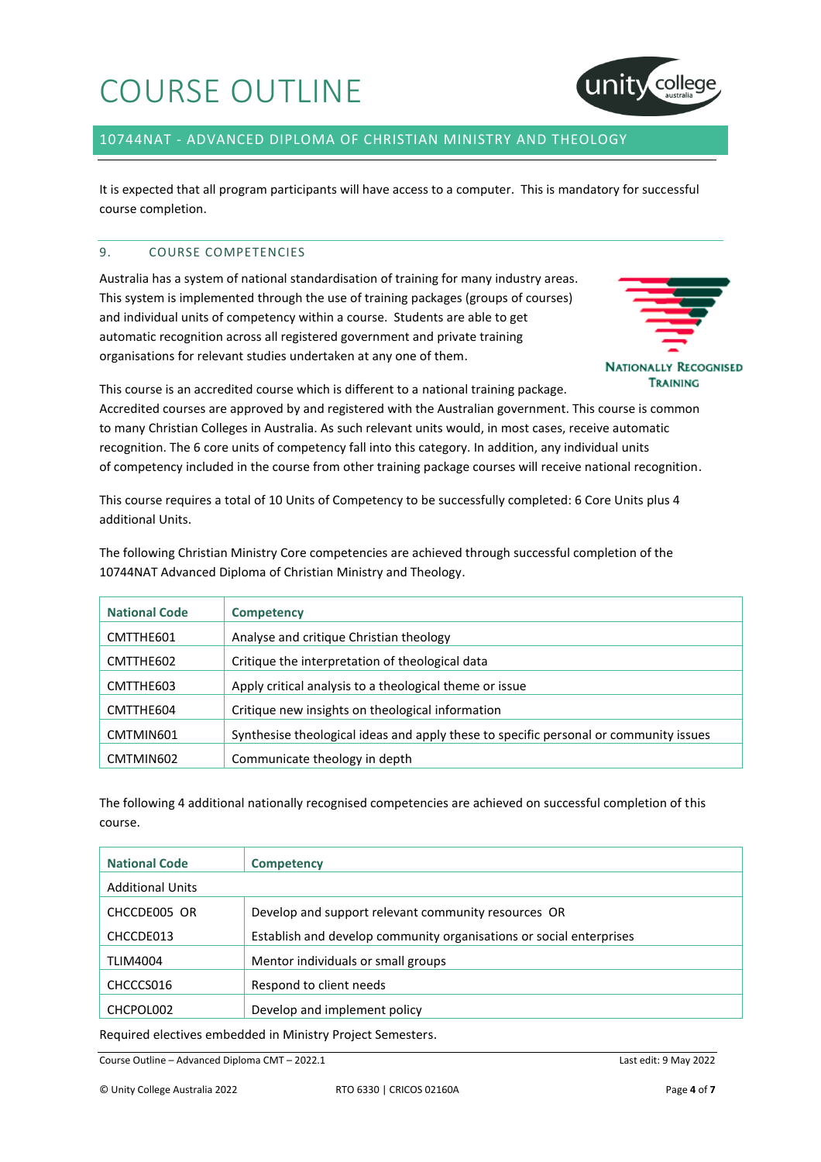

# 10744NAT - ADVANCED DIPLOMA OF CHRISTIAN MINISTRY AND THEOLOGY

It is expected that all program participants will have access to a computer. This is mandatory for successful course completion.

## 9. COURSE COMPETENCIES

Australia has a system of national standardisation of training for many industry areas. This system is implemented through the use of training packages (groups of courses) and individual units of competency within a course. Students are able to get automatic recognition across all registered government and private training organisations for relevant studies undertaken at any one of them.



This course is an accredited course which is different to a national training package.

Accredited courses are approved by and registered with the Australian government. This course is common to many Christian Colleges in Australia. As such relevant units would, in most cases, receive automatic recognition. The 6 core units of competency fall into this category. In addition, any individual units of competency included in the course from other training package courses will receive national recognition.

This course requires a total of 10 Units of Competency to be successfully completed: 6 Core Units plus 4 additional Units.

The following Christian Ministry Core competencies are achieved through successful completion of the 10744NAT Advanced Diploma of Christian Ministry and Theology.

| <b>National Code</b> | <b>Competency</b>                                                                     |
|----------------------|---------------------------------------------------------------------------------------|
| CMTTHE601            | Analyse and critique Christian theology                                               |
| CMTTHE602            | Critique the interpretation of theological data                                       |
| CMTTHE603            | Apply critical analysis to a theological theme or issue                               |
| CMTTHE604            | Critique new insights on theological information                                      |
| CMTMIN601            | Synthesise theological ideas and apply these to specific personal or community issues |
| CMTMIN602            | Communicate theology in depth                                                         |

The following 4 additional nationally recognised competencies are achieved on successful completion of this course.

| <b>National Code</b>    | <b>Competency</b>                                                   |
|-------------------------|---------------------------------------------------------------------|
| <b>Additional Units</b> |                                                                     |
| CHCCDE005 OR            | Develop and support relevant community resources OR                 |
| CHCCDE013               | Establish and develop community organisations or social enterprises |
| <b>TLIM4004</b>         | Mentor individuals or small groups                                  |
| CHCCCS016               | Respond to client needs                                             |
| CHCPOL002               | Develop and implement policy                                        |
|                         |                                                                     |

Required electives embedded in Ministry Project Semesters.

Course Outline – Advanced Diploma CMT – 2022.1 Last edit: 9 May 2022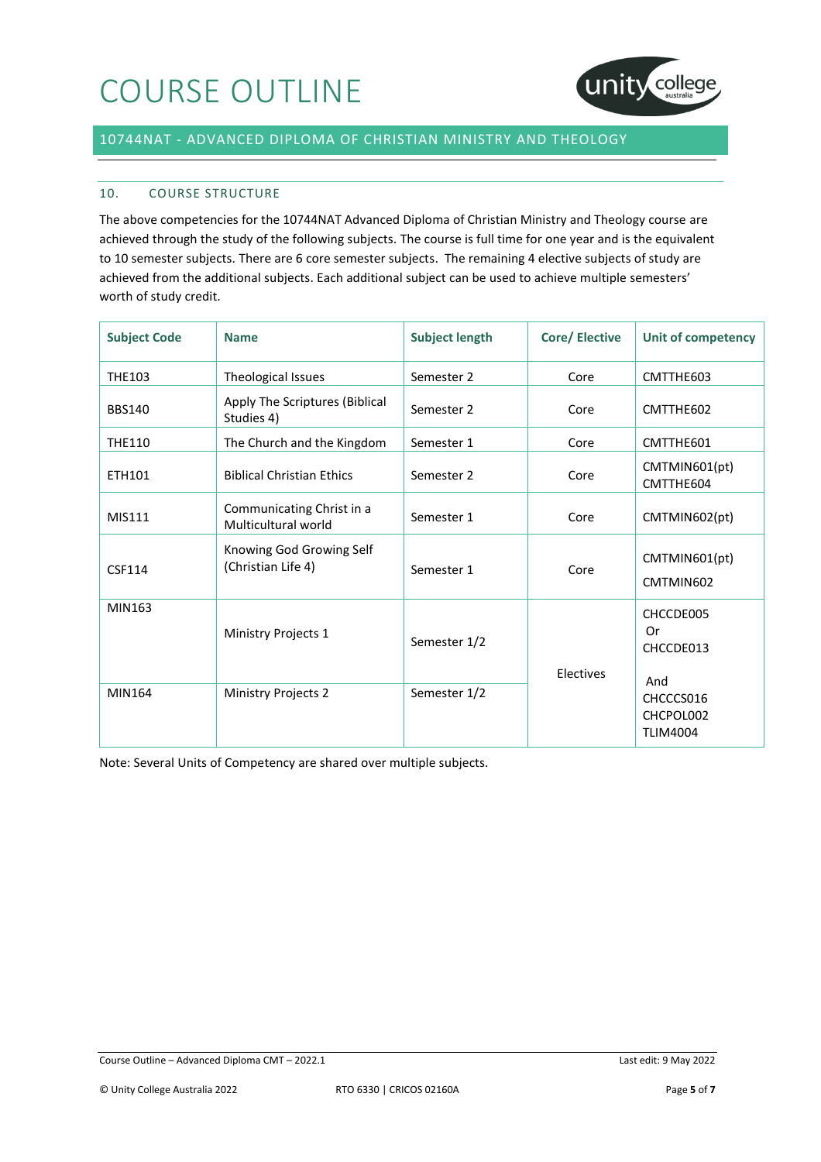

# 10744NAT - ADVANCED DIPLOMA OF CHRISTIAN MINISTRY AND THEOLOGY

## 10. COURSE STRUCTURE

The above competencies for the 10744NAT Advanced Diploma of Christian Ministry and Theology course are achieved through the study of the following subjects. The course is full time for one year and is the equivalent to 10 semester subjects. There are 6 core semester subjects. The remaining 4 elective subjects of study are achieved from the additional subjects. Each additional subject can be used to achieve multiple semesters' worth of study credit.

| <b>Subject Code</b> | <b>Name</b>                                      | <b>Subject length</b> | <b>Core/Elective</b> | Unit of competency                               |
|---------------------|--------------------------------------------------|-----------------------|----------------------|--------------------------------------------------|
| <b>THE103</b>       | Theological Issues                               | Semester 2            | Core                 | CMTTHE603                                        |
| <b>BBS140</b>       | Apply The Scriptures (Biblical<br>Studies 4)     | Semester 2            | Core                 | CMTTHE602                                        |
| <b>THE110</b>       | The Church and the Kingdom                       | Semester 1            | Core                 | CMTTHE601                                        |
| ETH101              | <b>Biblical Christian Ethics</b>                 | Semester 2            | Core                 | CMTMIN601(pt)<br>CMTTHE604                       |
| MIS111              | Communicating Christ in a<br>Multicultural world | Semester 1            | Core                 | CMTMIN602(pt)                                    |
| <b>CSF114</b>       | Knowing God Growing Self<br>(Christian Life 4)   | Semester 1            | Core                 | CMTMIN601(pt)<br>CMTMIN602                       |
| MIN163              | Ministry Projects 1                              | Semester 1/2          | Electives            | CHCCDE005<br>Or<br>CHCCDE013                     |
| MIN164              | Ministry Projects 2                              | Semester 1/2          |                      | And<br>CHCCCS016<br>CHCPOL002<br><b>TLIM4004</b> |

Note: Several Units of Competency are shared over multiple subjects.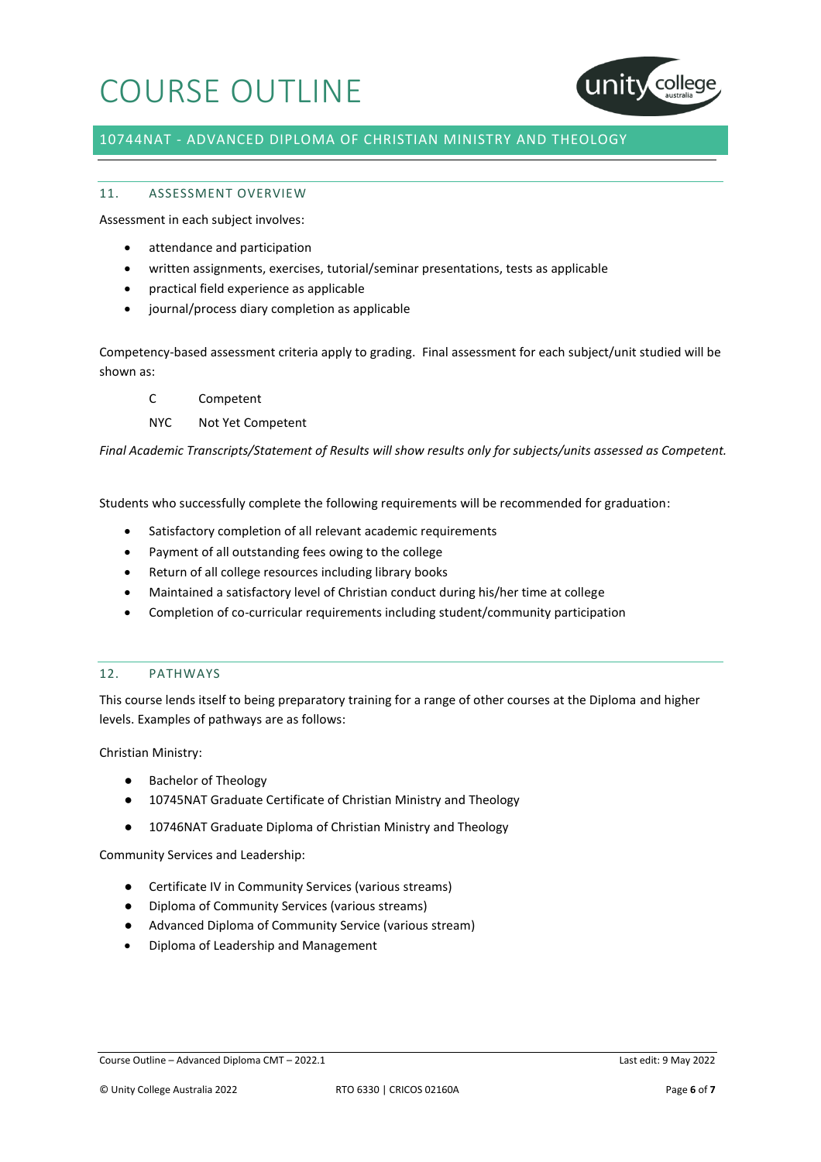

# 10744NAT - ADVANCED DIPLOMA OF CHRISTIAN MINISTRY AND THEOLOGY

## 11. ASSESSMENT OVERVIEW

Assessment in each subject involves:

- attendance and participation
- written assignments, exercises, tutorial/seminar presentations, tests as applicable
- practical field experience as applicable
- journal/process diary completion as applicable

Competency-based assessment criteria apply to grading. Final assessment for each subject/unit studied will be shown as:

- C Competent
- NYC Not Yet Competent

*Final Academic Transcripts/Statement of Results will show results only for subjects/units assessed as Competent.*

Students who successfully complete the following requirements will be recommended for graduation:

- Satisfactory completion of all relevant academic requirements
- Payment of all outstanding fees owing to the college
- Return of all college resources including library books
- Maintained a satisfactory level of Christian conduct during his/her time at college
- Completion of co-curricular requirements including student/community participation

### 12. PATHWAYS

This course lends itself to being preparatory training for a range of other courses at the Diploma and higher levels. Examples of pathways are as follows:

Christian Ministry:

- Bachelor of Theology
- 10745NAT Graduate Certificate of Christian Ministry and Theology
- 10746NAT Graduate Diploma of Christian Ministry and Theology

Community Services and Leadership:

- Certificate IV in Community Services (various streams)
- Diploma of Community Services (various streams)
- Advanced Diploma of Community Service (various stream)
- Diploma of Leadership and Management

Course Outline – Advanced Diploma CMT – 2022.1 Last edit: 9 May 2022